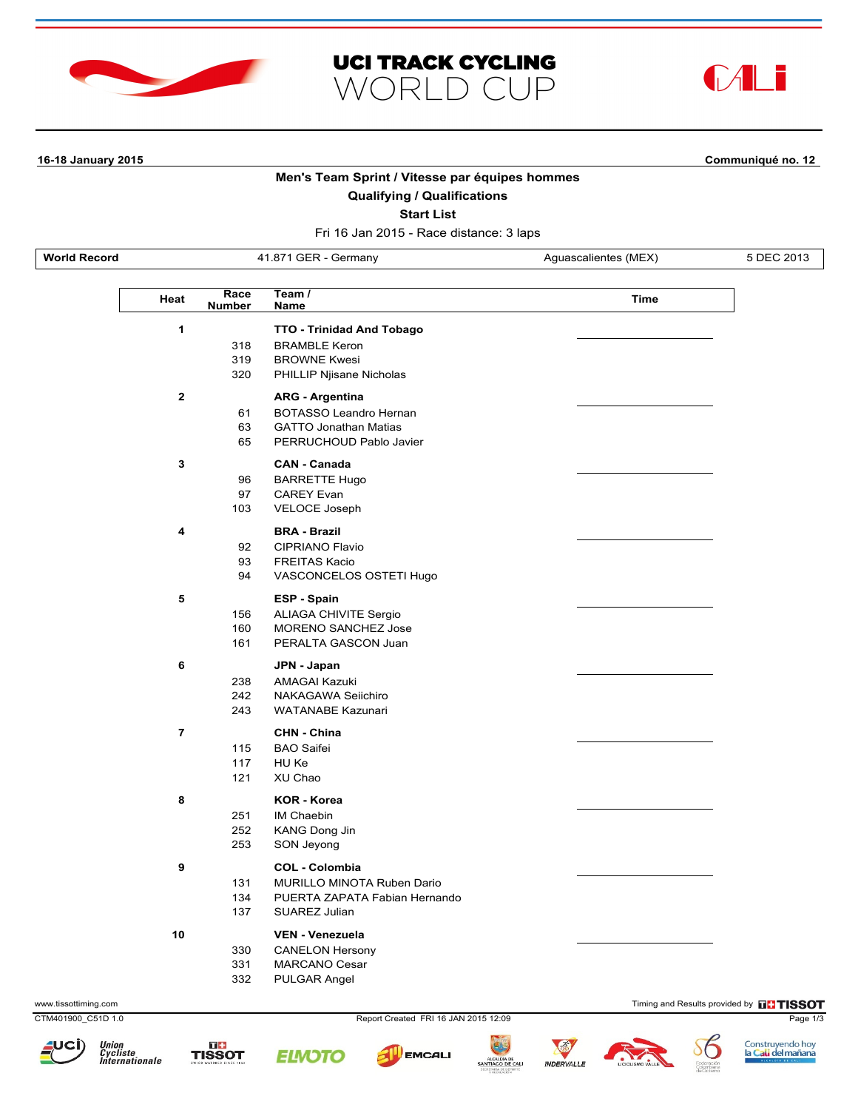





**16-18 January 2015 Communiqué no. 12**

# **Men's Team Sprint / Vitesse par équipes hommes**

**Qualifying / Qualifications**

**Start List**

Fri 16 Jan 2015 - Race distance: 3 laps

**World Record 41.871 GER - Germany Aguascalientes (MEX)** 5 DEC 2013

 $\overline{\mathbb{L}}$ 

| Race<br>Heat<br>Number |     | Team /<br>Name                | <b>Time</b> |
|------------------------|-----|-------------------------------|-------------|
| 1                      |     | TTO - Trinidad And Tobago     |             |
|                        | 318 | <b>BRAMBLE Keron</b>          |             |
|                        | 319 | <b>BROWNE Kwesi</b>           |             |
|                        | 320 | PHILLIP Njisane Nicholas      |             |
| $\mathbf{2}$           |     | <b>ARG - Argentina</b>        |             |
|                        | 61  | BOTASSO Leandro Hernan        |             |
|                        | 63  | <b>GATTO Jonathan Matias</b>  |             |
|                        | 65  | PERRUCHOUD Pablo Javier       |             |
| 3                      |     | <b>CAN - Canada</b>           |             |
|                        | 96  | <b>BARRETTE Hugo</b>          |             |
|                        | 97  | <b>CAREY Evan</b>             |             |
|                        | 103 | VELOCE Joseph                 |             |
| 4                      |     | <b>BRA - Brazil</b>           |             |
|                        | 92  | <b>CIPRIANO Flavio</b>        |             |
|                        | 93  | <b>FREITAS Kacio</b>          |             |
|                        | 94  | VASCONCELOS OSTETI Hugo       |             |
| 5                      |     | <b>ESP - Spain</b>            |             |
|                        | 156 | <b>ALIAGA CHIVITE Sergio</b>  |             |
|                        | 160 | <b>MORENO SANCHEZ Jose</b>    |             |
|                        | 161 | PERALTA GASCON Juan           |             |
| 6                      |     | JPN - Japan                   |             |
|                        | 238 | <b>AMAGAI Kazuki</b>          |             |
|                        | 242 | NAKAGAWA Seiichiro            |             |
|                        | 243 | <b>WATANABE Kazunari</b>      |             |
| $\overline{7}$         |     | CHN - China                   |             |
|                        | 115 | <b>BAO</b> Saifei             |             |
|                        | 117 | HU Ke                         |             |
|                        | 121 | XU Chao                       |             |
| 8                      |     | <b>KOR - Korea</b>            |             |
|                        | 251 | IM Chaebin                    |             |
|                        | 252 | KANG Dong Jin                 |             |
|                        | 253 | SON Jeyong                    |             |
| 9                      |     | <b>COL - Colombia</b>         |             |
|                        | 131 | MURILLO MINOTA Ruben Dario    |             |
|                        | 134 | PUERTA ZAPATA Fabian Hernando |             |
|                        | 137 | SUAREZ Julian                 |             |
| 10                     |     | <b>VEN - Venezuela</b>        |             |
|                        | 330 | <b>CANELON Hersony</b>        |             |
|                        | 331 | <b>MARCANO Cesar</b>          |             |
|                        | 332 | <b>PULGAR Angel</b>           |             |

www.tissottiming.com **Timing and Results provided by FITISSOT** 

CTM401900\_C51D 1.0 Report Created FRI 16 JAN 2015 12:09 Page 1/3











SANTIAGO DE CAL





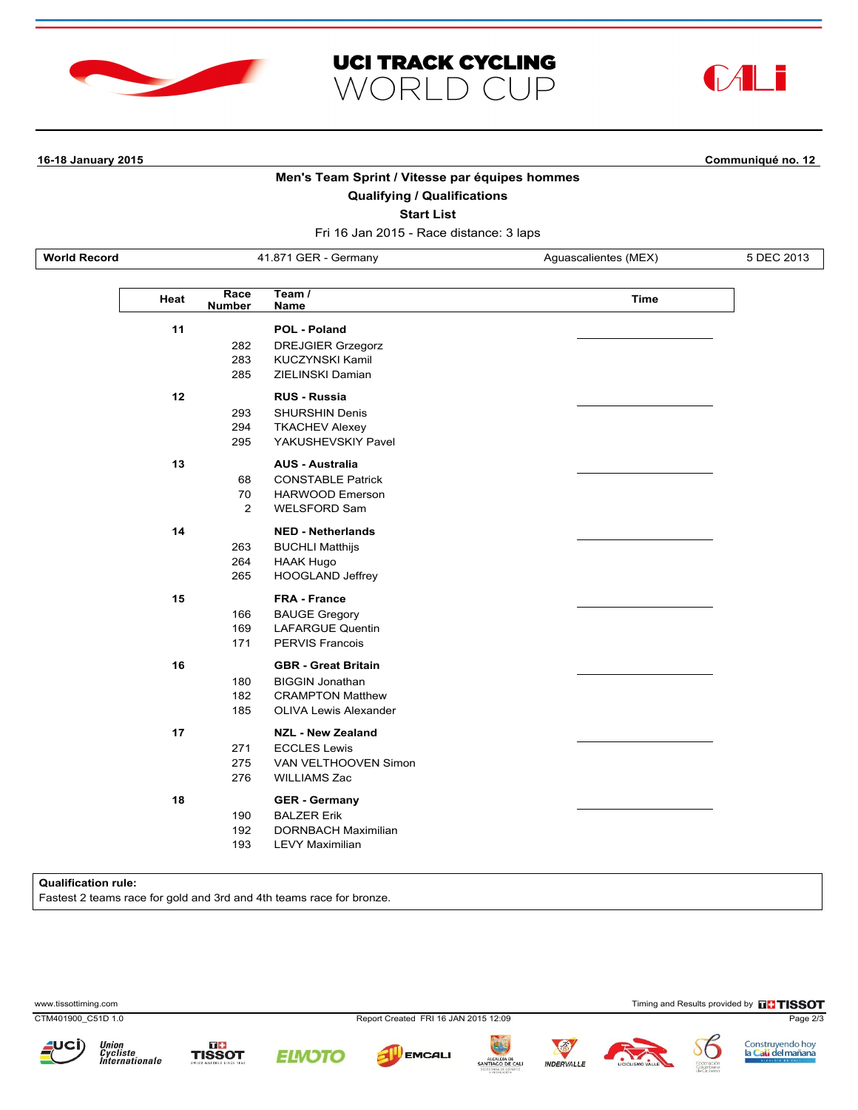





L

**16-18 January 2015 Communiqué no. 12**

# **Men's Team Sprint / Vitesse par équipes hommes**

### **Qualifying / Qualifications**

**Start List**

Fri 16 Jan 2015 - Race distance: 3 laps

**World Record 41.871 GER - Germany Aguascalientes (MEX)** 5 DEC 2013

| Heat | Race<br><b>Number</b>      | Team $\overline{I}$<br><b>Time</b><br>Name                                                                      |  |  |  |
|------|----------------------------|-----------------------------------------------------------------------------------------------------------------|--|--|--|
| 11   | 282<br>283<br>285          | POL - Poland<br><b>DREJGIER Grzegorz</b><br><b>KUCZYNSKI Kamil</b><br>ZIELINSKI Damian                          |  |  |  |
| 12   | 293<br>294<br>295          | <b>RUS - Russia</b><br><b>SHURSHIN Denis</b><br><b>TKACHEV Alexey</b><br>YAKUSHEVSKIY Pavel                     |  |  |  |
| 13   | 68<br>70<br>$\overline{2}$ | <b>AUS - Australia</b><br><b>CONSTABLE Patrick</b><br><b>HARWOOD Emerson</b><br><b>WELSFORD Sam</b>             |  |  |  |
| 14   | 263<br>264<br>265          | <b>NED - Netherlands</b><br><b>BUCHLI Matthijs</b><br><b>HAAK Hugo</b><br><b>HOOGLAND Jeffrey</b>               |  |  |  |
| 15   | 166<br>169<br>171          | <b>FRA - France</b><br><b>BAUGE Gregory</b><br><b>LAFARGUE Quentin</b><br><b>PERVIS Francois</b>                |  |  |  |
| 16   | 180<br>182<br>185          | <b>GBR</b> - Great Britain<br><b>BIGGIN Jonathan</b><br><b>CRAMPTON Matthew</b><br><b>OLIVA Lewis Alexander</b> |  |  |  |
| 17   | 271<br>275<br>276          | <b>NZL - New Zealand</b><br><b>ECCLES Lewis</b><br>VAN VELTHOOVEN Simon<br><b>WILLIAMS Zac</b>                  |  |  |  |
| 18   | 190<br>192<br>193          | <b>GER</b> - Germany<br><b>BALZER Erik</b><br><b>DORNBACH Maximilian</b><br><b>LEVY Maximilian</b>              |  |  |  |

#### **Qualification rule:**

Fastest 2 teams race for gold and 3rd and 4th teams race for bronze.

www.tissottiming.com **EXECUTES CONTEXTS AND RESULTS PROPERTY CONTEXTS AND RESULTS PROPERTY CONTEXTS PROPERTY CONTEXTS PROPERTY AND RESULTS PROPERTY AND RESULTS PROPERTY AND RESULTS PROPERTY AND RESULTS PROPERTY AND RESULTS** 

CTM401900\_C51D 1.0 Report Created FRI 16 JAN 2015 12:09 Page 2/3







**EMCALI** 





Construyendo hoy<br>l<mark>a Cali del mañana</mark>